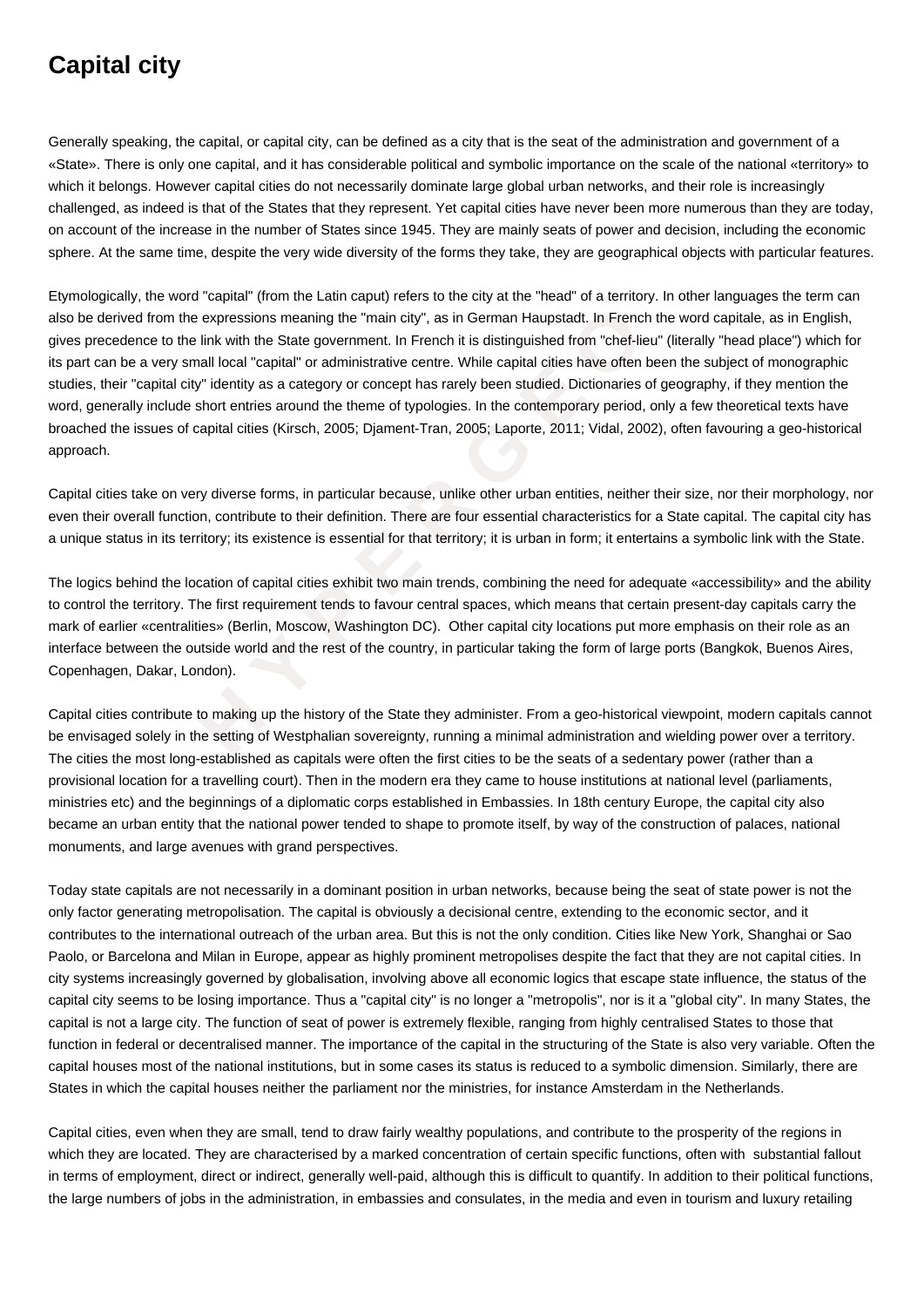## **Capital city**

Generally speaking, the capital, or capital city, can be defined as a city that is the seat of the administration and government of a «State». There is only one capital, and it has considerable political and symbolic importance on the scale of the national «territory» to which it belongs. However capital cities do not necessarily dominate large global urban networks, and their role is increasingly challenged, as indeed is that of the States that they represent. Yet capital cities have never been more numerous than they are today, on account of the increase in the number of States since 1945. They are mainly seats of power and decision, including the economic sphere. At the same time, despite the very wide diversity of the forms they take, they are geographical objects with particular features.

from the expressions meaning the "main city", as in German Haupstadt. In French the to the link with the State government. In French it is distinguished from "chef-lieu" every small local "capital" or administrative cente. Etymologically, the word "capital" (from the Latin caput) refers to the city at the "head" of a territory. In other languages the term can also be derived from the expressions meaning the "main city", as in German Haupstadt. In French the word capitale, as in English, gives precedence to the link with the State government. In French it is distinguished from "chef-lieu" (literally "head place") which for its part can be a very small local "capital" or administrative centre. While capital cities have often been the subject of monographic studies, their "capital city" identity as a category or concept has rarely been studied. Dictionaries of geography, if they mention the word, generally include short entries around the theme of typologies. In the contemporary period, only a few theoretical texts have broached the issues of capital cities (Kirsch, 2005; Djament-Tran, 2005; Laporte, 2011; Vidal, 2002), often favouring a geo-historical approach.

Capital cities take on very diverse forms, in particular because, unlike other urban entities, neither their size, nor their morphology, nor even their overall function, contribute to their definition. There are four essential characteristics for a State capital. The capital city has a unique status in its territory; its existence is essential for that territory; it is urban in form; it entertains a symbolic link with the State.

The logics behind the location of capital cities exhibit two main trends, combining the need for adequate «accessibility» and the ability to control the territory. The first requirement tends to favour central spaces, which means that certain present-day capitals carry the mark of earlier «centralities» (Berlin, Moscow, Washington DC). Other capital city locations put more emphasis on their role as an interface between the outside world and the rest of the country, in particular taking the form of large ports (Bangkok, Buenos Aires, Copenhagen, Dakar, London).

Capital cities contribute to making up the history of the State they administer. From a geo-historical viewpoint, modern capitals cannot be envisaged solely in the setting of Westphalian sovereignty, running a minimal administration and wielding power over a territory. The cities the most long-established as capitals were often the first cities to be the seats of a sedentary power (rather than a provisional location for a travelling court). Then in the modern era they came to house institutions at national level (parliaments, ministries etc) and the beginnings of a diplomatic corps established in Embassies. In 18th century Europe, the capital city also became an urban entity that the national power tended to shape to promote itself, by way of the construction of palaces, national monuments, and large avenues with grand perspectives.

Today state capitals are not necessarily in a dominant position in urban networks, because being the seat of state power is not the only factor generating metropolisation. The capital is obviously a decisional centre, extending to the economic sector, and it contributes to the international outreach of the urban area. But this is not the only condition. Cities like New York, Shanghai or Sao Paolo, or Barcelona and Milan in Europe, appear as highly prominent metropolises despite the fact that they are not capital cities. In city systems increasingly governed by globalisation, involving above all economic logics that escape state influence, the status of the capital city seems to be losing importance. Thus a "capital city" is no longer a "metropolis", nor is it a "global city". In many States, the capital is not a large city. The function of seat of power is extremely flexible, ranging from highly centralised States to those that function in federal or decentralised manner. The importance of the capital in the structuring of the State is also very variable. Often the capital houses most of the national institutions, but in some cases its status is reduced to a symbolic dimension. Similarly, there are States in which the capital houses neither the parliament nor the ministries, for instance Amsterdam in the Netherlands.

Capital cities, even when they are small, tend to draw fairly wealthy populations, and contribute to the prosperity of the regions in which they are located. They are characterised by a marked concentration of certain specific functions, often with substantial fallout in terms of employment, direct or indirect, generally well-paid, although this is difficult to quantify. In addition to their political functions, the large numbers of jobs in the administration, in embassies and consulates, in the media and even in tourism and luxury retailing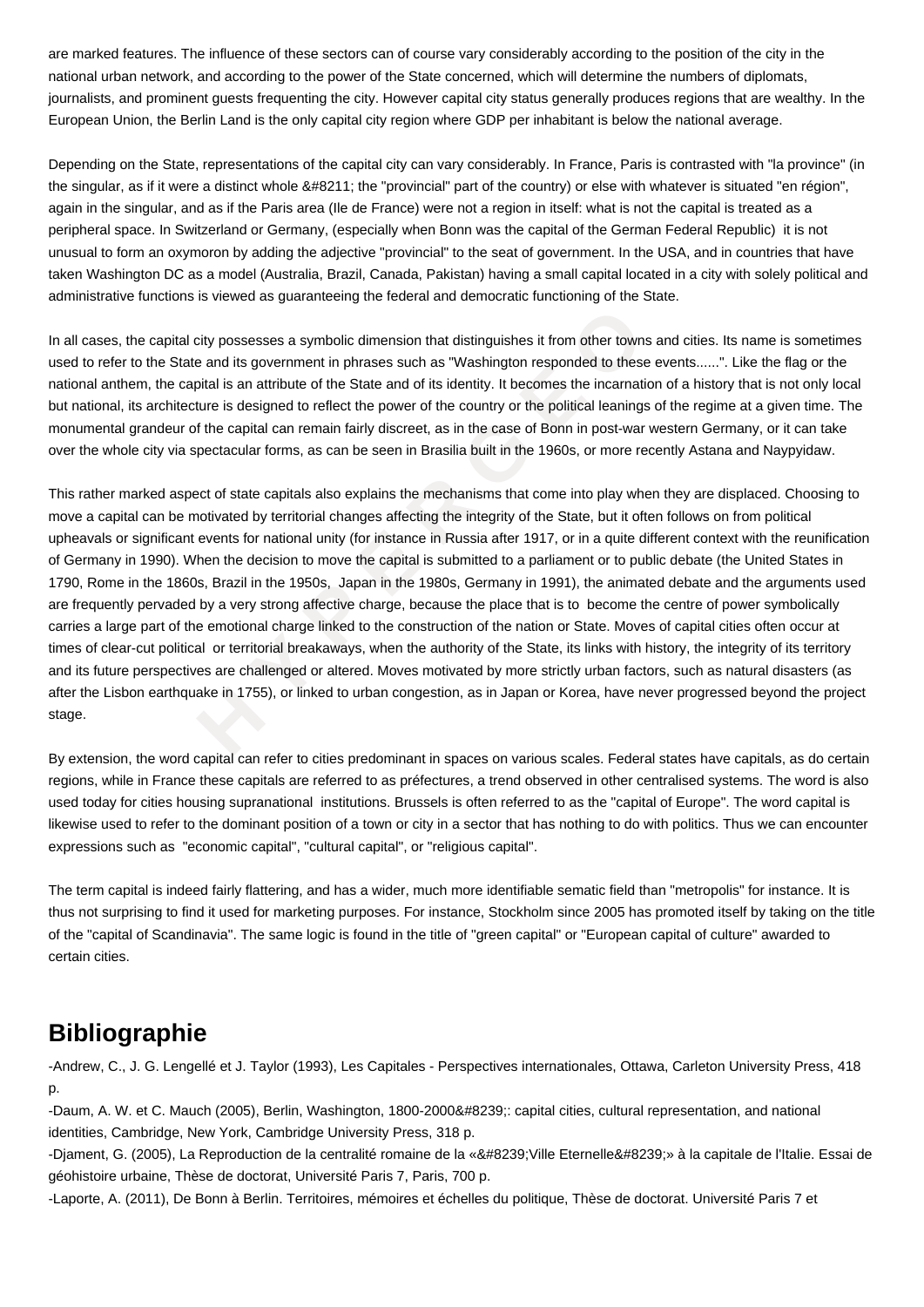are marked features. The influence of these sectors can of course vary considerably according to the position of the city in the national urban network, and according to the power of the State concerned, which will determine the numbers of diplomats, journalists, and prominent guests frequenting the city. However capital city status generally produces regions that are wealthy. In the European Union, the Berlin Land is the only capital city region where GDP per inhabitant is below the national average.

Depending on the State, representations of the capital city can vary considerably. In France, Paris is contrasted with "la province" (in the singular, as if it were a distinct whole  $&\#8211$ ; the "provincial" part of the country) or else with whatever is situated "en région". again in the singular, and as if the Paris area (Ile de France) were not a region in itself: what is not the capital is treated as a peripheral space. In Switzerland or Germany, (especially when Bonn was the capital of the German Federal Republic) it is not unusual to form an oxymoron by adding the adjective "provincial" to the seat of government. In the USA, and in countries that have taken Washington DC as a model (Australia, Brazil, Canada, Pakistan) having a small capital located in a city with solely political and administrative functions is viewed as guaranteeing the federal and democratic functioning of the State.

In all cases, the capital city possesses a symbolic dimension that distinguishes it from other towns and cities. Its name is sometimes used to refer to the State and its government in phrases such as "Washington responded to these events......". Like the flag or the national anthem, the capital is an attribute of the State and of its identity. It becomes the incarnation of a history that is not only local but national, its architecture is designed to reflect the power of the country or the political leanings of the regime at a given time. The monumental grandeur of the capital can remain fairly discreet, as in the case of Bonn in post-war western Germany, or it can take over the whole city via spectacular forms, as can be seen in Brasilia built in the 1960s, or more recently Astana and Naypyidaw.

sapital city possesses a symbolic dimension that distinguishes it from other towns ane State and its government in phrases such as "Washington responded to these even the capital is an attribute of the State and of its ide This rather marked aspect of state capitals also explains the mechanisms that come into play when they are displaced. Choosing to move a capital can be motivated by territorial changes affecting the integrity of the State, but it often follows on from political upheavals or significant events for national unity (for instance in Russia after 1917, or in a quite different context with the reunification of Germany in 1990). When the decision to move the capital is submitted to a parliament or to public debate (the United States in 1790, Rome in the 1860s, Brazil in the 1950s, Japan in the 1980s, Germany in 1991), the animated debate and the arguments used are frequently pervaded by a very strong affective charge, because the place that is to become the centre of power symbolically carries a large part of the emotional charge linked to the construction of the nation or State. Moves of capital cities often occur at times of clear-cut political or territorial breakaways, when the authority of the State, its links with history, the integrity of its territory and its future perspectives are challenged or altered. Moves motivated by more strictly urban factors, such as natural disasters (as after the Lisbon earthquake in 1755), or linked to urban congestion, as in Japan or Korea, have never progressed beyond the project stage.

By extension, the word capital can refer to cities predominant in spaces on various scales. Federal states have capitals, as do certain regions, while in France these capitals are referred to as préfectures, a trend observed in other centralised systems. The word is also used today for cities housing supranational institutions. Brussels is often referred to as the "capital of Europe". The word capital is likewise used to refer to the dominant position of a town or city in a sector that has nothing to do with politics. Thus we can encounter expressions such as "economic capital", "cultural capital", or "religious capital".

The term capital is indeed fairly flattering, and has a wider, much more identifiable sematic field than "metropolis" for instance. It is thus not surprising to find it used for marketing purposes. For instance, Stockholm since 2005 has promoted itself by taking on the title of the "capital of Scandinavia". The same logic is found in the title of "green capital" or "European capital of culture" awarded to certain cities.

## **Bibliographie**

-Andrew, C., J. G. Lengellé et J. Taylor (1993), Les Capitales - Perspectives internationales, Ottawa, Carleton University Press, 418 p.

-Daum, A. W. et C. Mauch (2005), Berlin, Washington, 1800-2000 : capital cities, cultural representation, and national identities, Cambridge, New York, Cambridge University Press, 318 p.

-Djament, G. (2005), La Reproduction de la centralité romaine de la « Ville Eternelle » à la capitale de l'Italie. Essai de géohistoire urbaine, Thèse de doctorat, Université Paris 7, Paris, 700 p.

-Laporte, A. (2011), De Bonn à Berlin. Territoires, mémoires et échelles du politique, Thèse de doctorat. Université Paris 7 et